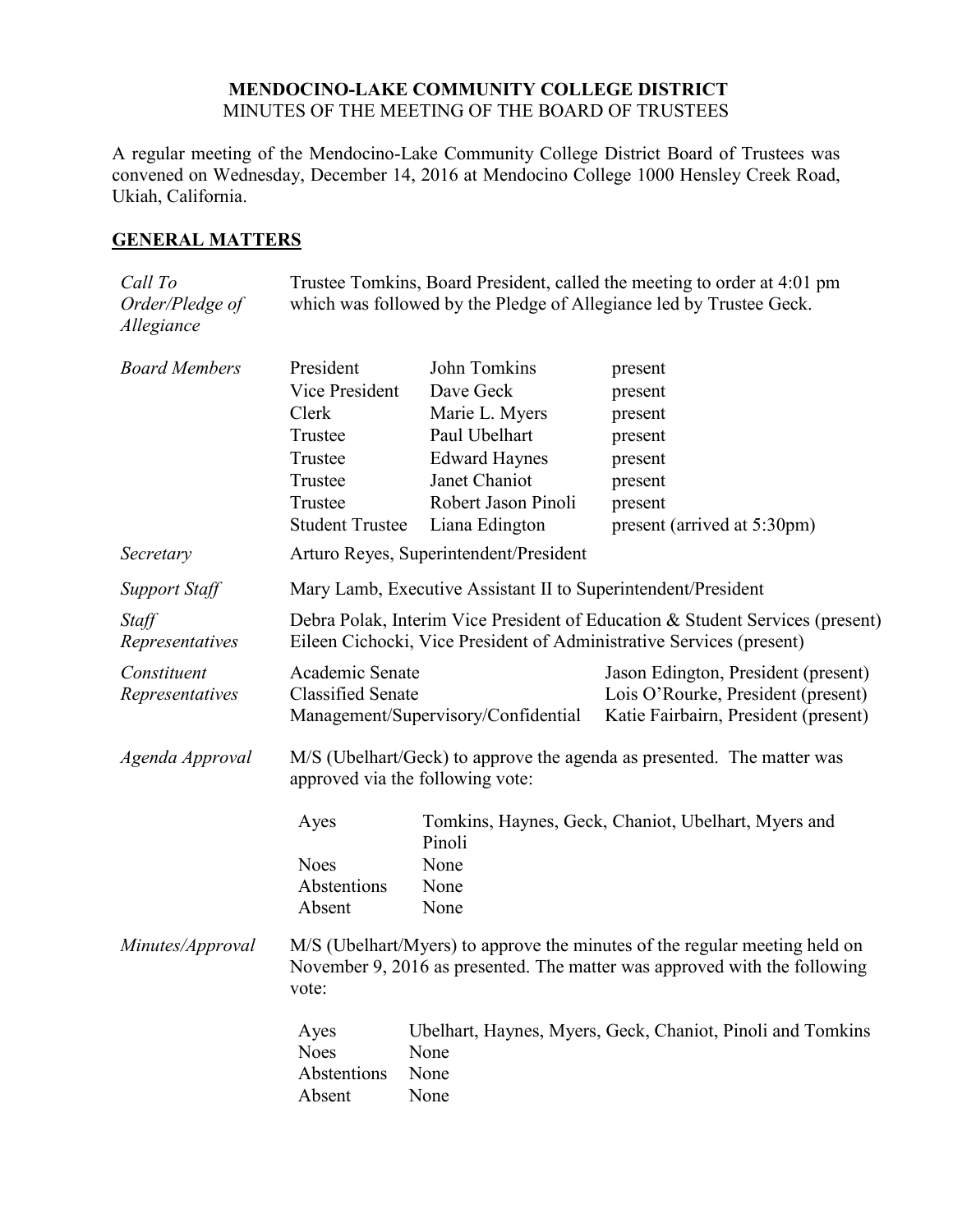#### **MENDOCINO-LAKE COMMUNITY COLLEGE DISTRICT** MINUTES OF THE MEETING OF THE BOARD OF TRUSTEES

A regular meeting of the Mendocino-Lake Community College District Board of Trustees was convened on Wednesday, December 14, 2016 at Mendocino College 1000 Hensley Creek Road, Ukiah, California.

## **GENERAL MATTERS**

| Call To<br>Order/Pledge of<br>Allegiance         |                                                                                                                                                                  |                                                                                                                                                | Trustee Tomkins, Board President, called the meeting to order at 4:01 pm<br>which was followed by the Pledge of Allegiance led by Trustee Geck.       |
|--------------------------------------------------|------------------------------------------------------------------------------------------------------------------------------------------------------------------|------------------------------------------------------------------------------------------------------------------------------------------------|-------------------------------------------------------------------------------------------------------------------------------------------------------|
| <b>Board Members</b>                             | President<br>Vice President<br>Clerk<br>Trustee<br>Trustee<br>Trustee<br>Trustee<br><b>Student Trustee</b>                                                       | John Tomkins<br>Dave Geck<br>Marie L. Myers<br>Paul Ubelhart<br><b>Edward Haynes</b><br>Janet Chaniot<br>Robert Jason Pinoli<br>Liana Edington | present<br>present<br>present<br>present<br>present<br>present<br>present<br>present (arrived at 5:30pm)                                              |
| Secretary                                        |                                                                                                                                                                  | Arturo Reyes, Superintendent/President                                                                                                         |                                                                                                                                                       |
| <b>Support Staff</b><br>Staff<br>Representatives |                                                                                                                                                                  | Mary Lamb, Executive Assistant II to Superintendent/President                                                                                  | Debra Polak, Interim Vice President of Education & Student Services (present)<br>Eileen Cichocki, Vice President of Administrative Services (present) |
| Constituent<br>Representatives                   | Academic Senate<br><b>Classified Senate</b>                                                                                                                      | Management/Supervisory/Confidential                                                                                                            | Jason Edington, President (present)<br>Lois O'Rourke, President (present)<br>Katie Fairbairn, President (present)                                     |
| Agenda Approval                                  | M/S (Ubelhart/Geck) to approve the agenda as presented. The matter was<br>approved via the following vote:                                                       |                                                                                                                                                |                                                                                                                                                       |
|                                                  | Ayes<br><b>Noes</b><br>Abstentions<br>Absent                                                                                                                     | Pinoli<br>None<br>None<br>None                                                                                                                 | Tomkins, Haynes, Geck, Chaniot, Ubelhart, Myers and                                                                                                   |
| Minutes/Approval                                 | M/S (Ubelhart/Myers) to approve the minutes of the regular meeting held on<br>November 9, 2016 as presented. The matter was approved with the following<br>vote: |                                                                                                                                                |                                                                                                                                                       |
|                                                  | Ayes<br><b>Noes</b><br>Abstentions<br>Absent                                                                                                                     | None<br>None<br>None                                                                                                                           | Ubelhart, Haynes, Myers, Geck, Chaniot, Pinoli and Tomkins                                                                                            |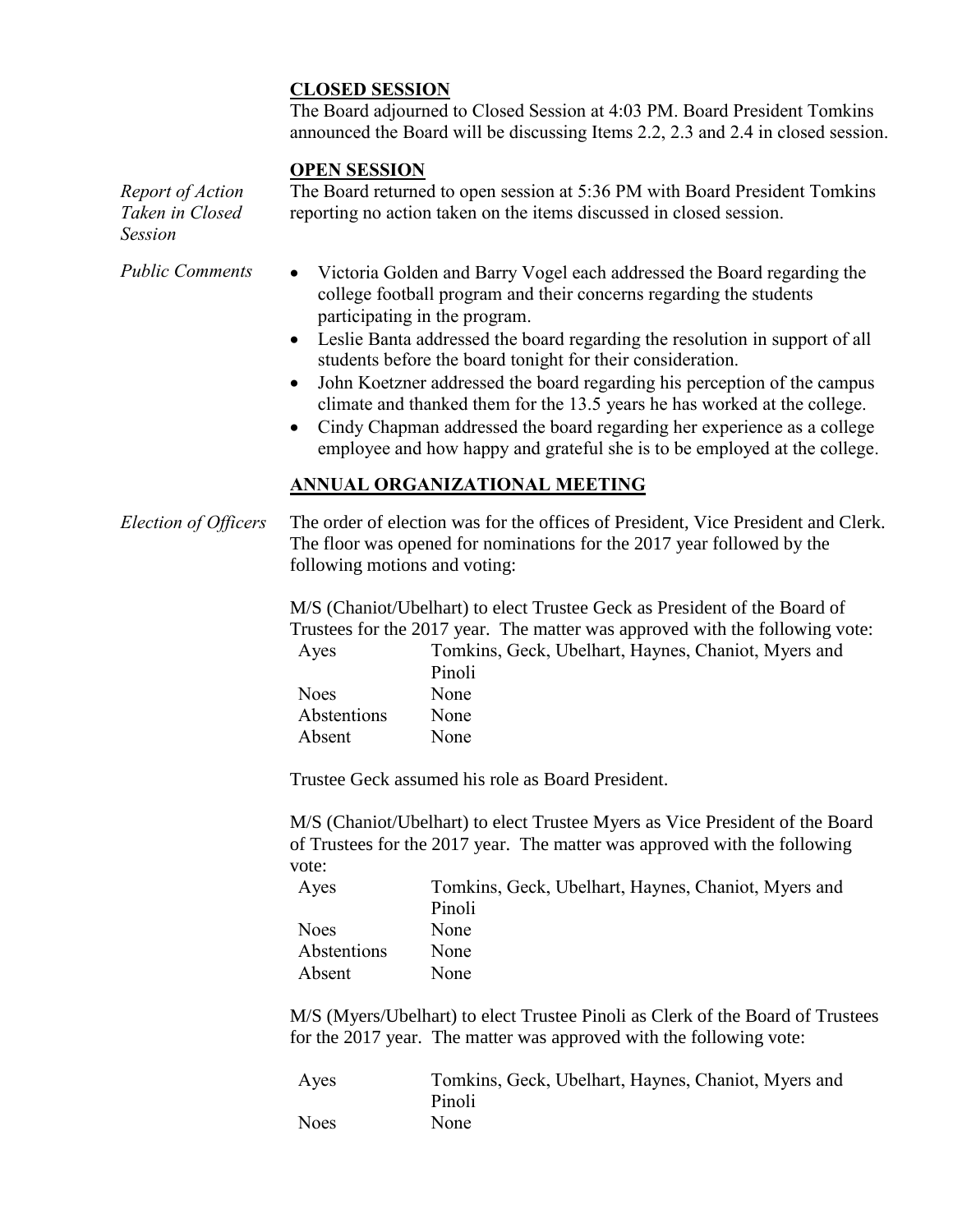## **CLOSED SESSION**

The Board adjourned to Closed Session at 4:03 PM. Board President Tomkins announced the Board will be discussing Items 2.2, 2.3 and 2.4 in closed session.

#### **OPEN SESSION**

*Report of Action Taken in Closed Session* The Board returned to open session at 5:36 PM with Board President Tomkins reporting no action taken on the items discussed in closed session.

- *Public Comments* Victoria Golden and Barry Vogel each addressed the Board regarding the college football program and their concerns regarding the students participating in the program.
	- Leslie Banta addressed the board regarding the resolution in support of all students before the board tonight for their consideration.
	- John Koetzner addressed the board regarding his perception of the campus climate and thanked them for the 13.5 years he has worked at the college.
	- Cindy Chapman addressed the board regarding her experience as a college employee and how happy and grateful she is to be employed at the college.

## **ANNUAL ORGANIZATIONAL MEETING**

*Election of Officers* The order of election was for the offices of President, Vice President and Clerk. The floor was opened for nominations for the 2017 year followed by the following motions and voting:

> M/S (Chaniot/Ubelhart) to elect Trustee Geck as President of the Board of Trustees for the 2017 year. The matter was approved with the following vote: Ayes Tomkins, Geck, Ubelhart, Haynes, Chaniot, Myers and Pinoli Noes None Abstentions None Absent None

Trustee Geck assumed his role as Board President.

M/S (Chaniot/Ubelhart) to elect Trustee Myers as Vice President of the Board of Trustees for the 2017 year. The matter was approved with the following vote:

| Ayes        | Tomkins, Geck, Ubelhart, Haynes, Chaniot, Myers and |
|-------------|-----------------------------------------------------|
|             | Pinoli                                              |
| <b>Noes</b> | None                                                |
| Abstentions | None                                                |
| Absent      | None                                                |

M/S (Myers/Ubelhart) to elect Trustee Pinoli as Clerk of the Board of Trustees for the 2017 year. The matter was approved with the following vote:

| Ayes        | Tomkins, Geck, Ubelhart, Haynes, Chaniot, Myers and |
|-------------|-----------------------------------------------------|
|             | Pinoli                                              |
| <b>Noes</b> | None                                                |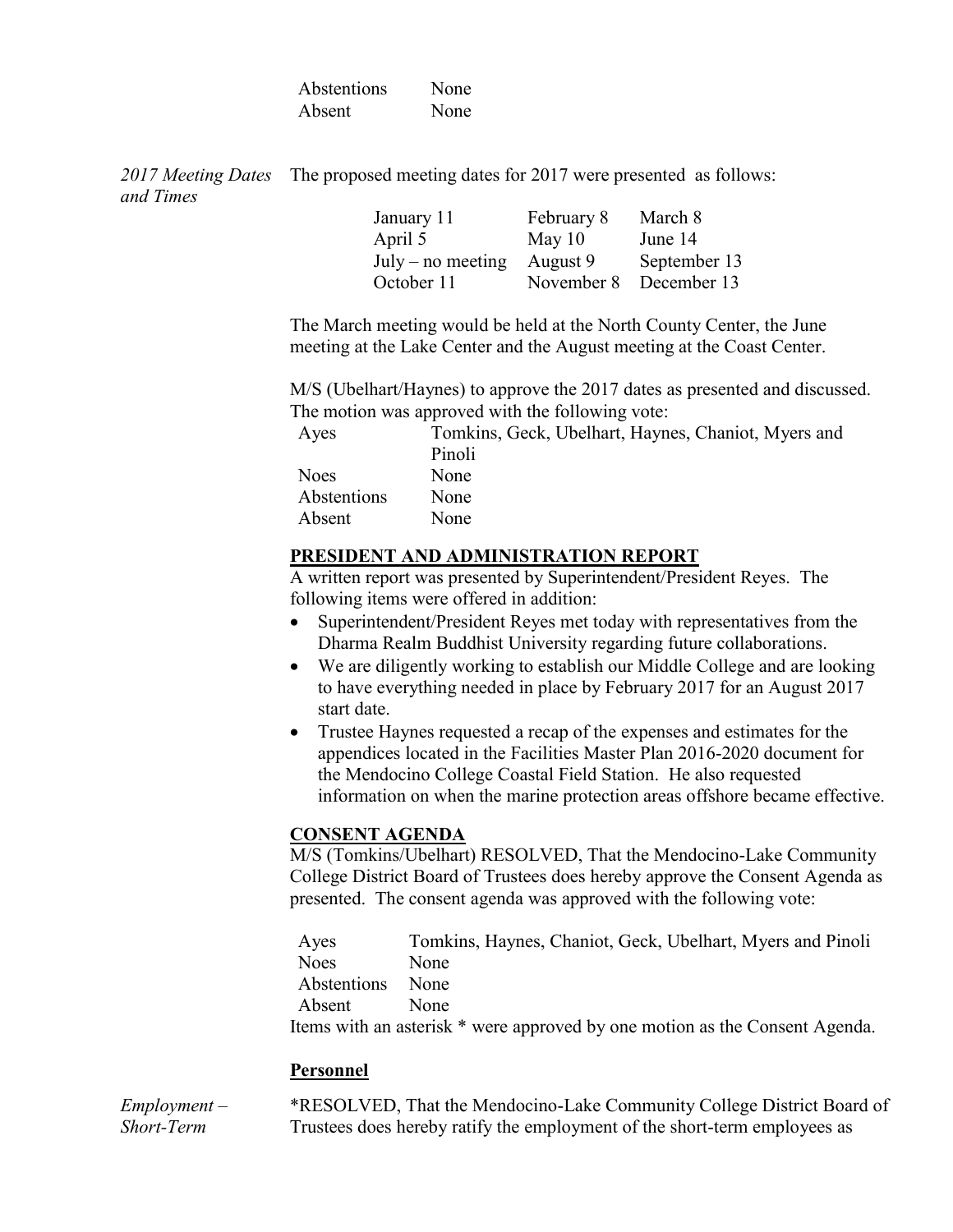| Abstentions | None |
|-------------|------|
| Absent      | None |

*2017 Meeting Dates*  The proposed meeting dates for 2017 were presented as follows: *and Times*

| September 13 |
|--------------|
| December 13  |
|              |

The March meeting would be held at the North County Center, the June meeting at the Lake Center and the August meeting at the Coast Center.

M/S (Ubelhart/Haynes) to approve the 2017 dates as presented and discussed. The motion was approved with the following vote:

| Ayes        | Tomkins, Geck, Ubelhart, Haynes, Chaniot, Myers and |
|-------------|-----------------------------------------------------|
|             | Pinoli                                              |
| <b>Noes</b> | None                                                |
| Abstentions | None                                                |
| Absent      | None                                                |

## **PRESIDENT AND ADMINISTRATION REPORT**

A written report was presented by Superintendent/President Reyes. The following items were offered in addition:

- Superintendent/President Reyes met today with representatives from the Dharma Realm Buddhist University regarding future collaborations.
- We are diligently working to establish our Middle College and are looking to have everything needed in place by February 2017 for an August 2017 start date.
- Trustee Haynes requested a recap of the expenses and estimates for the appendices located in the Facilities Master Plan 2016-2020 document for the Mendocino College Coastal Field Station. He also requested information on when the marine protection areas offshore became effective.

# **CONSENT AGENDA**

M/S (Tomkins/Ubelhart) RESOLVED, That the Mendocino-Lake Community College District Board of Trustees does hereby approve the Consent Agenda as presented. The consent agenda was approved with the following vote:

Ayes Tomkins, Haynes, Chaniot, Geck, Ubelhart, Myers and Pinoli Noes None Abstentions None Absent None Items with an asterisk \* were approved by one motion as the Consent Agenda.

# **Personnel**

*Employment – Short-Term*  \*RESOLVED, That the Mendocino-Lake Community College District Board of Trustees does hereby ratify the employment of the short-term employees as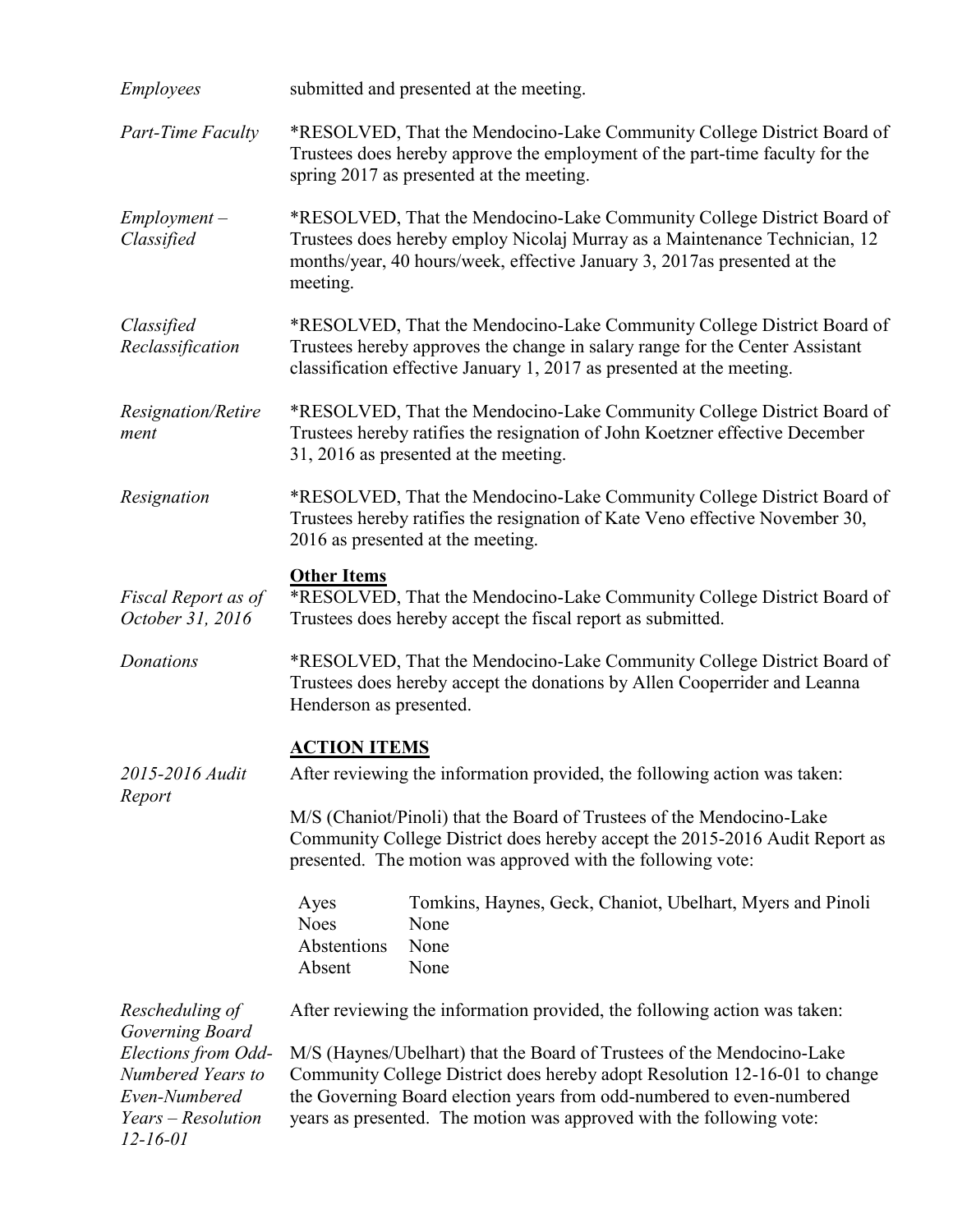| <i>Employees</i>                                                                                  | submitted and presented at the meeting.                                                                                                                                                                                                                                                               |  |
|---------------------------------------------------------------------------------------------------|-------------------------------------------------------------------------------------------------------------------------------------------------------------------------------------------------------------------------------------------------------------------------------------------------------|--|
| Part-Time Faculty                                                                                 | *RESOLVED, That the Mendocino-Lake Community College District Board of<br>Trustees does hereby approve the employment of the part-time faculty for the<br>spring 2017 as presented at the meeting.                                                                                                    |  |
| $Employment -$<br>Classified                                                                      | *RESOLVED, That the Mendocino-Lake Community College District Board of<br>Trustees does hereby employ Nicolaj Murray as a Maintenance Technician, 12<br>months/year, 40 hours/week, effective January 3, 2017as presented at the<br>meeting.                                                          |  |
| Classified<br>Reclassification                                                                    | *RESOLVED, That the Mendocino-Lake Community College District Board of<br>Trustees hereby approves the change in salary range for the Center Assistant<br>classification effective January 1, 2017 as presented at the meeting.                                                                       |  |
| Resignation/Retire<br>ment                                                                        | *RESOLVED, That the Mendocino-Lake Community College District Board of<br>Trustees hereby ratifies the resignation of John Koetzner effective December<br>31, 2016 as presented at the meeting.                                                                                                       |  |
| Resignation                                                                                       | *RESOLVED, That the Mendocino-Lake Community College District Board of<br>Trustees hereby ratifies the resignation of Kate Veno effective November 30,<br>2016 as presented at the meeting.                                                                                                           |  |
| Fiscal Report as of<br>October 31, 2016                                                           | <b>Other Items</b><br>*RESOLVED, That the Mendocino-Lake Community College District Board of<br>Trustees does hereby accept the fiscal report as submitted.                                                                                                                                           |  |
| Donations                                                                                         | *RESOLVED, That the Mendocino-Lake Community College District Board of<br>Trustees does hereby accept the donations by Allen Cooperrider and Leanna<br>Henderson as presented.                                                                                                                        |  |
| 2015-2016 Audit<br>Report                                                                         | <b>ACTION ITEMS</b><br>After reviewing the information provided, the following action was taken:                                                                                                                                                                                                      |  |
|                                                                                                   | M/S (Chaniot/Pinoli) that the Board of Trustees of the Mendocino-Lake<br>Community College District does hereby accept the 2015-2016 Audit Report as<br>presented. The motion was approved with the following vote:                                                                                   |  |
|                                                                                                   | Tomkins, Haynes, Geck, Chaniot, Ubelhart, Myers and Pinoli<br>Ayes<br><b>Noes</b><br>None<br>Abstentions<br>None<br>Absent<br>None                                                                                                                                                                    |  |
| Rescheduling of<br>Governing Board                                                                | After reviewing the information provided, the following action was taken:                                                                                                                                                                                                                             |  |
| Elections from Odd-<br>Numbered Years to<br>Even-Numbered<br>Years – Resolution<br>$12 - 16 - 01$ | M/S (Haynes/Ubelhart) that the Board of Trustees of the Mendocino-Lake<br>Community College District does hereby adopt Resolution 12-16-01 to change<br>the Governing Board election years from odd-numbered to even-numbered<br>years as presented. The motion was approved with the following vote: |  |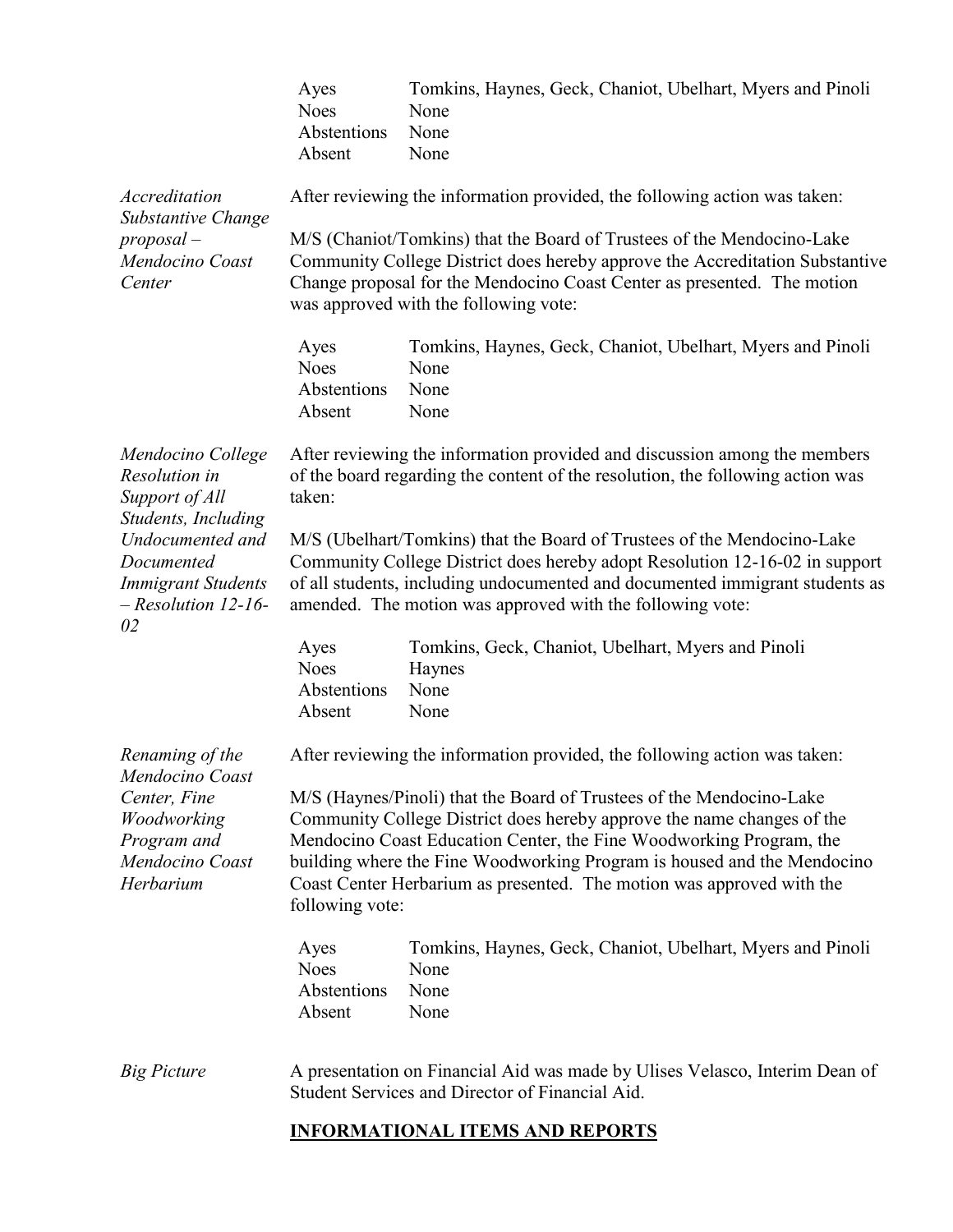|                                                                                                                                                                           | Ayes<br><b>Noes</b><br>Abstentions<br>Absent                                                                                                                                                                                                                                                        | Tomkins, Haynes, Geck, Chaniot, Ubelhart, Myers and Pinoli<br>None<br>None<br>None                                                                                                                                                                                                                                                                                        |  |
|---------------------------------------------------------------------------------------------------------------------------------------------------------------------------|-----------------------------------------------------------------------------------------------------------------------------------------------------------------------------------------------------------------------------------------------------------------------------------------------------|---------------------------------------------------------------------------------------------------------------------------------------------------------------------------------------------------------------------------------------------------------------------------------------------------------------------------------------------------------------------------|--|
| Accreditation<br>Substantive Change<br>$\textit{proposal}$ –<br>Mendocino Coast<br>Center                                                                                 | After reviewing the information provided, the following action was taken:                                                                                                                                                                                                                           |                                                                                                                                                                                                                                                                                                                                                                           |  |
|                                                                                                                                                                           |                                                                                                                                                                                                                                                                                                     | M/S (Chaniot/Tomkins) that the Board of Trustees of the Mendocino-Lake<br>Community College District does hereby approve the Accreditation Substantive<br>Change proposal for the Mendocino Coast Center as presented. The motion<br>was approved with the following vote:                                                                                                |  |
|                                                                                                                                                                           | Ayes<br><b>Noes</b><br>Abstentions<br>Absent                                                                                                                                                                                                                                                        | Tomkins, Haynes, Geck, Chaniot, Ubelhart, Myers and Pinoli<br>None<br>None<br>None                                                                                                                                                                                                                                                                                        |  |
| Mendocino College<br>Resolution in<br>Support of All<br>Students, Including<br>Undocumented and<br>Documented<br><b>Immigrant Students</b><br>$-$ Resolution 12-16-<br>02 | taken:                                                                                                                                                                                                                                                                                              | After reviewing the information provided and discussion among the members<br>of the board regarding the content of the resolution, the following action was                                                                                                                                                                                                               |  |
|                                                                                                                                                                           | M/S (Ubelhart/Tomkins) that the Board of Trustees of the Mendocino-Lake<br>Community College District does hereby adopt Resolution 12-16-02 in support<br>of all students, including undocumented and documented immigrant students as<br>amended. The motion was approved with the following vote: |                                                                                                                                                                                                                                                                                                                                                                           |  |
|                                                                                                                                                                           | Ayes<br><b>Noes</b><br>Abstentions<br>Absent                                                                                                                                                                                                                                                        | Tomkins, Geck, Chaniot, Ubelhart, Myers and Pinoli<br>Haynes<br>None<br>None                                                                                                                                                                                                                                                                                              |  |
| Renaming of the<br>Mendocino Coast<br>Center, Fine<br>Woodworking<br>Program and<br>Mendocino Coast<br>Herbarium                                                          |                                                                                                                                                                                                                                                                                                     | After reviewing the information provided, the following action was taken:                                                                                                                                                                                                                                                                                                 |  |
|                                                                                                                                                                           | following vote:                                                                                                                                                                                                                                                                                     | M/S (Haynes/Pinoli) that the Board of Trustees of the Mendocino-Lake<br>Community College District does hereby approve the name changes of the<br>Mendocino Coast Education Center, the Fine Woodworking Program, the<br>building where the Fine Woodworking Program is housed and the Mendocino<br>Coast Center Herbarium as presented. The motion was approved with the |  |
|                                                                                                                                                                           | Ayes<br><b>Noes</b><br>Abstentions<br>Absent                                                                                                                                                                                                                                                        | Tomkins, Haynes, Geck, Chaniot, Ubelhart, Myers and Pinoli<br>None<br>None<br>None                                                                                                                                                                                                                                                                                        |  |
| <b>Big Picture</b>                                                                                                                                                        |                                                                                                                                                                                                                                                                                                     | A presentation on Financial Aid was made by Ulises Velasco, Interim Dean of<br>Student Services and Director of Financial Aid.                                                                                                                                                                                                                                            |  |

# **INFORMATIONAL ITEMS AND REPORTS**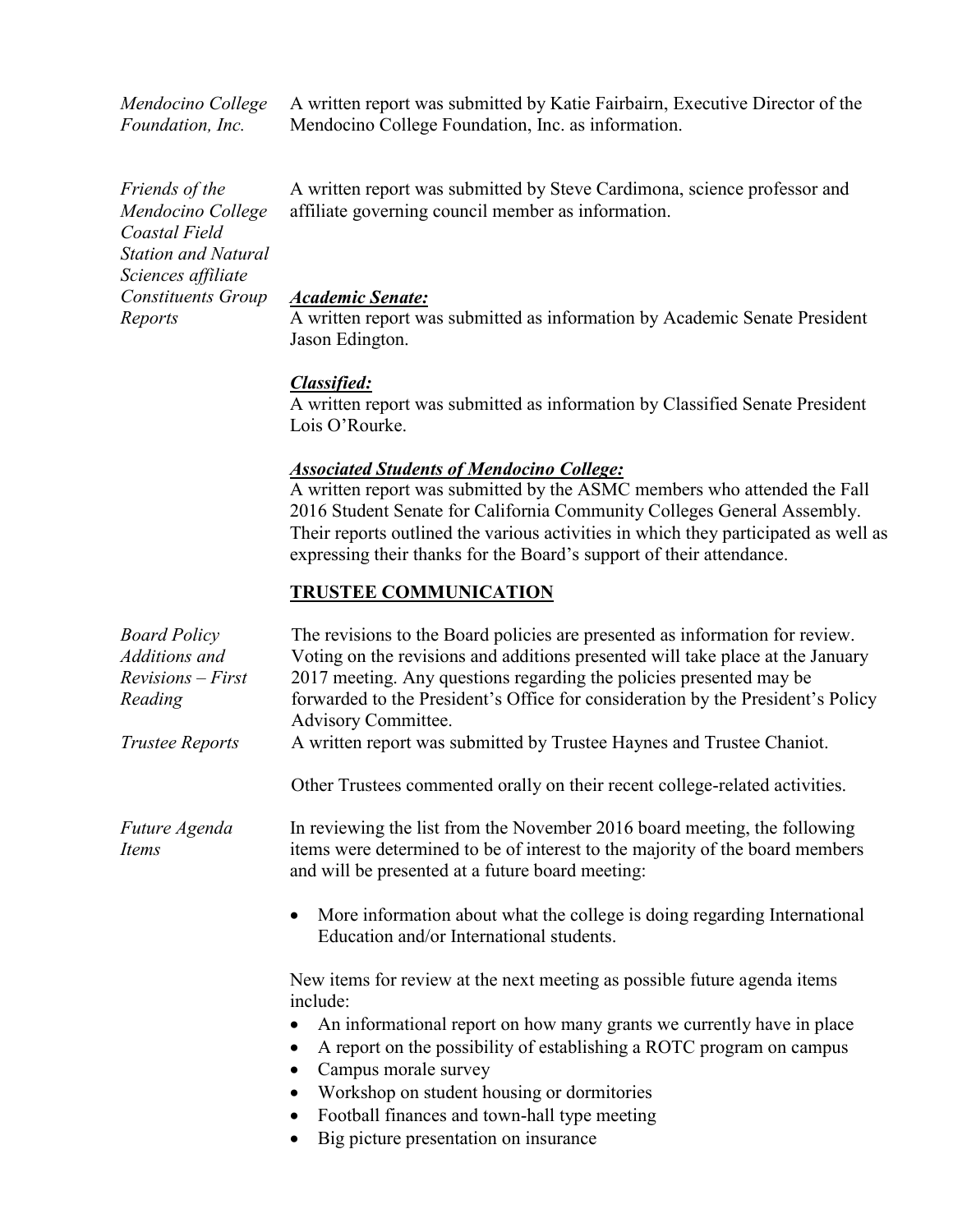*Mendocino College Foundation, Inc.*

A written report was submitted by Katie Fairbairn, Executive Director of the Mendocino College Foundation, Inc. as information.

*Friends of the Mendocino College Coastal Field Station and Natural Sciences affiliate Constituents Group Reports*

A written report was submitted by Steve Cardimona, science professor and affiliate governing council member as information.

#### *Academic Senate:*

A written report was submitted as information by Academic Senate President Jason Edington.

#### *Classified:*

A written report was submitted as information by Classified Senate President Lois O'Rourke.

#### *Associated Students of Mendocino College:*

A written report was submitted by the ASMC members who attended the Fall 2016 Student Senate for California Community Colleges General Assembly. Their reports outlined the various activities in which they participated as well as expressing their thanks for the Board's support of their attendance.

#### **TRUSTEE COMMUNICATION**

| <b>Board Policy</b><br>Additions and<br>$Revisions - First$<br>Reading<br><b>Trustee Reports</b> | The revisions to the Board policies are presented as information for review.<br>Voting on the revisions and additions presented will take place at the January<br>2017 meeting. Any questions regarding the policies presented may be<br>forwarded to the President's Office for consideration by the President's Policy<br>Advisory Committee.<br>A written report was submitted by Trustee Haynes and Trustee Chaniot.<br>Other Trustees commented orally on their recent college-related activities. |
|--------------------------------------------------------------------------------------------------|---------------------------------------------------------------------------------------------------------------------------------------------------------------------------------------------------------------------------------------------------------------------------------------------------------------------------------------------------------------------------------------------------------------------------------------------------------------------------------------------------------|
| <i>Future Agenda</i><br><i>Items</i>                                                             | In reviewing the list from the November 2016 board meeting, the following<br>items were determined to be of interest to the majority of the board members<br>and will be presented at a future board meeting:<br>More information about what the college is doing regarding International<br>Education and/or International students.<br>New items for review at the next meeting as possible future agenda items<br>include:<br>An informational report on how many grants we currently have in place  |
|                                                                                                  | A report on the possibility of establishing a ROTC program on campus<br>Campus morale survey<br>Workshop on student housing or dormitories<br>Football finances and town-hall type meeting<br>Big picture presentation on insurance                                                                                                                                                                                                                                                                     |